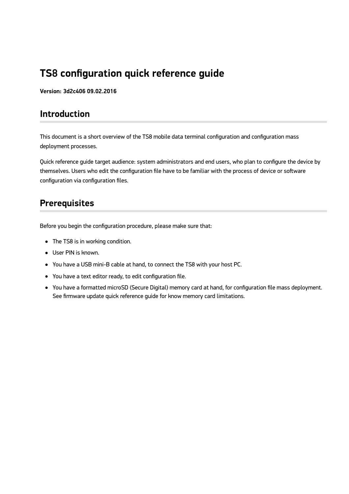# **TS8 configuration quick reference guide**

**Version: 3d2c406 09.02.2016**

### **Introduction**

This document is a short overview of the TS8 mobile data terminal configuration and configuration mass deployment processes.

Quick reference guide target audience: system administrators and end users, who plan to configure the device by themselves. Users who edit the configuration file have to be familiar with the process of device or software configuration via configuration files.

### **Prerequisites**

Before you begin the configuration procedure, please make sure that:

- The TS8 is in working condition.
- User PIN is known.
- You have a USB mini-B cable at hand, to connect the TS8 with your host PC.
- You have a text editor ready, to edit configuration file.
- You have a formatted microSD (Secure Digital) memory card at hand, for configuration file mass deployment. See firmware update quick reference guide for know memory card limitations.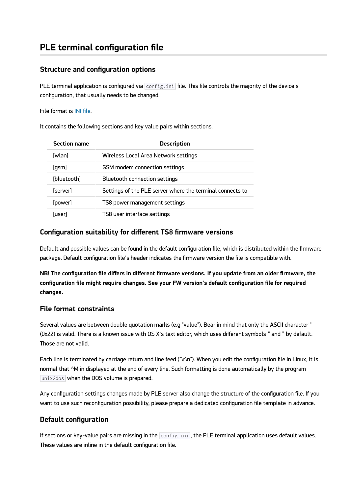## **PLE terminal configuration file**

#### **Structure and configuration options**

PLE terminal application is configured via  $|$ config.ini file. This file controls the majority of the device's configuration, that usually needs to be changed.

File format is [INI file](https://en.wikipedia.org/wiki/INI_file).

It contains the following sections and key value pairs within sections.

| <b>Section name</b> | <b>Description</b>                                        |
|---------------------|-----------------------------------------------------------|
| [wlan]              | <b>Wireless Local Area Network settings</b>               |
| [gsm]               | GSM modem connection settings                             |
| [bluetooth]         | Bluetooth connection settings                             |
| [server]            | Settings of the PLE server where the terminal connects to |
| [power]             | TS8 power management settings                             |
| [user]              | TS8 user interface settings                               |

#### **Configuration suitability for different TS8 firmware versions**

Default and possible values can be found in the default configuration file, which is distributed within the firmware package. Default configuration file's header indicates the firmware version the file is compatible with.

**NB! The configuration file differs in different firmware versions. If you update from an older firmware, the configuration file might require changes. See your FW version's default configuration file for required changes.**

#### **File format constraints**

Several values are between double quotation marks (e.g "value"). Bear in mind that only the ASCII character " (0x22) is valid. There is a known issue with OS X's text editor, which uses different symbols " and " by default. Those are not valid.

Each line is terminated by carriage return and line feed ("\r\n"). When you edit the configuration file in Linux, it is normal that ^M in displayed at the end of every line. Such formatting is done automatically by the program unix2dos when the DOS volume is prepared.

Any configuration settings changes made by PLE server also change the structure of the configuration file. If you want to use such reconfiguration possibility, please prepare a dedicated configuration file template in advance.

### **Default configuration**

If sections or key-value pairs are missing in the  $|config.ini|$ , the PLE terminal application uses default values. These values are inline in the default configuration file.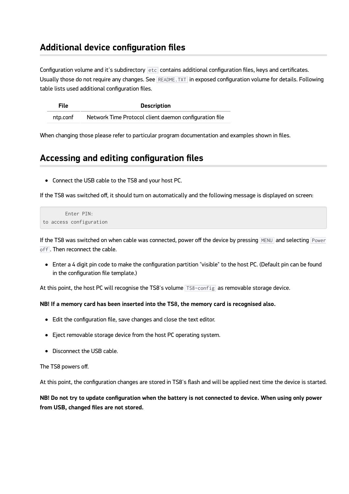### **Additional device configuration files**

Configuration volume and it's subdirectory etc contains additional configuration files, keys and certificates. Usually those do not require any changes. See README. TXT in exposed configuration volume for details. Following table lists used additional configuration files.

| <b>File</b> | <b>Description</b>                                     |
|-------------|--------------------------------------------------------|
| ntp.conf    | Network Time Protocol client daemon configuration file |

When changing those please refer to particular program documentation and examples shown in files.

### **Accessing and editing configuration files**

Connect the USB cable to the TS8 and your host PC.

If the TS8 was switched off, it should turn on automatically and the following message is displayed on screen:

```
 Enter PIN:
to access configuration
```
If the TS8 was switched on when cable was connected, power off the device by pressing MENU and selecting Power off. Then reconnect the cable.

Enter a 4 digit pin code to make the configuration partition "visible" to the host PC. (Default pin can be found in the configuration file template.)

At this point, the host PC will recognise the TS8's volume TS8-config as removable storage device.

#### **NB! If a memory card has been inserted into the TS8, the memory card is recognised also.**

- Edit the configuration file, save changes and close the text editor.
- Eject removable storage device from the host PC operating system.
- Disconnect the USB cable.

The TS8 powers off.

At this point, the configuration changes are stored in TS8's flash and will be applied next time the device is started.

**NB! Do not try to update configuration when the battery is not connected to device. When using only power from USB, changed files are not stored.**